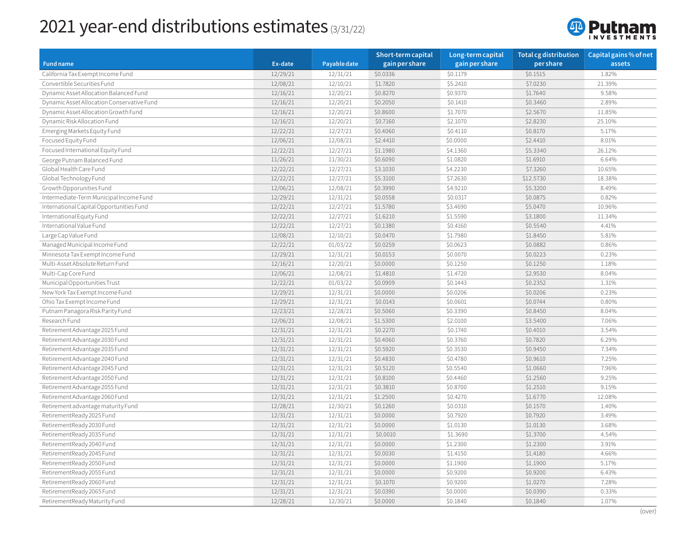## 2021 year-end distributions estimates (3/31/22)



|                                            |          |              | Short-term capital | Long-term capital | <b>Total cg distribution</b> | Capital gains % of net |
|--------------------------------------------|----------|--------------|--------------------|-------------------|------------------------------|------------------------|
| <b>Fund name</b>                           | Ex-date  | Payable date | gain per share     | gain per share    | pershare                     | assets                 |
| California Tax Exempt Income Fund          | 12/29/21 | 12/31/21     | \$0.0336           | \$0.1179          | \$0.1515                     | 1.82%                  |
| Convertible Securities Fund                | 12/08/21 | 12/10/21     | \$1.7820           | \$5.2410          | \$7.0230                     | 21.39%                 |
| Dynamic Asset Allocation Balanced Fund     | 12/16/21 | 12/20/21     | \$0.8270           | \$0.9370          | \$1.7640                     | 9.58%                  |
| Dynamic Asset Allocation Conservative Fund | 12/16/21 | 12/20/21     | \$0.2050           | \$0.1410          | \$0.3460                     | 2.89%                  |
| Dynamic Asset Allocation Growth Fund       | 12/16/21 | 12/20/21     | \$0.8600           | \$1.7070          | \$2.5670                     | 11.85%                 |
| Dynamic Risk Allocation Fund               | 12/16/21 | 12/20/21     | \$0.7160           | \$2.1070          | \$2.8230                     | 25.10%                 |
| Emerging Markets Equity Fund               | 12/22/21 | 12/27/21     | \$0.4060           | \$0.4110          | \$0.8170                     | 5.17%                  |
| Focused Equity Fund                        | 12/06/21 | 12/08/21     | \$2.4410           | \$0.0000          | \$2.4410                     | 8.01%                  |
| Focused International Equity Fund          | 12/22/21 | 12/27/21     | \$1.1980           | \$4.1360          | \$5.3340                     | 26.12%                 |
| George Putnam Balanced Fund                | 11/26/21 | 11/30/21     | \$0.6090           | \$1.0820          | \$1.6910                     | 6.64%                  |
| Global Health Care Fund                    | 12/22/21 | 12/27/21     | \$3.1030           | \$4.2230          | \$7.3260                     | 10.65%                 |
| Global Technology Fund                     | 12/22/21 | 12/27/21     | \$5.3100           | \$7.2630          | \$12.5730                    | 18.38%                 |
| Growth Opporunities Fund                   | 12/06/21 | 12/08/21     | \$0.3990           | \$4.9210          | \$5.3200                     | 8.49%                  |
| Intermediate-Term Municipal Income Fund    | 12/29/21 | 12/31/21     | \$0.0558           | \$0.0317          | \$0.0875                     | 0.82%                  |
| International Capital Opportunities Fund   | 12/22/21 | 12/27/21     | \$1.5780           | \$3.4690          | \$5.0470                     | 10.96%                 |
| International Equity Fund                  | 12/22/21 | 12/27/21     | \$1.6210           | \$1.5590          | \$3.1800                     | 11.34%                 |
| International Value Fund                   | 12/22/21 | 12/27/21     | \$0.1380           | \$0.4160          | \$0.5540                     | 4.41%                  |
| Large Cap Value Fund                       | 12/08/21 | 12/10/21     | \$0.0470           | \$1.7980          | \$1.8450                     | 5.81%                  |
| Managed Municipal Income Fund              | 12/22/21 | 01/03/22     | \$0.0259           | \$0.0623          | \$0.0882                     | 0.86%                  |
| Minnesota Tax Exempt Income Fund           | 12/29/21 | 12/31/21     | \$0.0153           | \$0.0070          | \$0.0223                     | 0.23%                  |
| Multi-Asset Absolute Return Fund           | 12/16/21 | 12/20/21     | \$0.0000           | \$0.1250          | \$0.1250                     | 1.18%                  |
| Multi-Cap Core Fund                        | 12/06/21 | 12/08/21     | \$1.4810           | \$1.4720          | \$2.9530                     | 8.04%                  |
| Municipal Opportunities Trust              | 12/22/21 | 01/03/22     | \$0.0909           | \$0.1443          | \$0.2352                     | 1.31%                  |
| New York Tax Exempt Income Fund            | 12/29/21 | 12/31/21     | \$0.0000           | \$0.0206          | \$0.0206                     | 0.23%                  |
| Ohio Tax Exempt Income Fund                | 12/29/21 | 12/31/21     | \$0.0143           | \$0.0601          | \$0.0744                     | 0.80%                  |
| Putnam Panagora Risk Parity Fund           | 12/23/21 | 12/28/21     | \$0.5060           | \$0.3390          | \$0.8450                     | 8.04%                  |
| Research Fund                              | 12/06/21 | 12/08/21     | \$1.5300           | \$2.0100          | \$3.5400                     | 7.06%                  |
| Retirement Advantage 2025 Fund             | 12/31/21 | 12/31/21     | \$0.2270           | \$0.1740          | \$0.4010                     | 3.54%                  |
| Retirement Advantage 2030 Fund             | 12/31/21 | 12/31/21     | \$0.4060           | \$0.3760          | \$0.7820                     | 6.29%                  |
| Retirement Advantage 2035 Fund             | 12/31/21 | 12/31/21     | \$0.5920           | \$0.3530          | \$0.9450                     | 7.34%                  |
| Retirement Advantage 2040 Fund             | 12/31/21 | 12/31/21     | \$0.4830           | \$0.4780          | \$0.9610                     | 7.25%                  |
| Retirement Advantage 2045 Fund             | 12/31/21 | 12/31/21     | \$0.5120           | \$0.5540          | \$1.0660                     | 7.96%                  |
| Retirement Advantage 2050 Fund             | 12/31/21 | 12/31/21     | \$0.8100           | \$0.4460          | \$1.2560                     | 9.25%                  |
| Retirement Advantage 2055 Fund             | 12/31/21 | 12/31/21     | \$0.3810           | \$0.8700          | \$1.2510                     | 9.15%                  |
| Retirement Advantage 2060 Fund             | 12/31/21 | 12/31/21     | \$1.2500           | \$0.4270          | \$1.6770                     | 12.08%                 |
| Retirement advantage maturity Fund         | 12/28/21 | 12/30/21     | \$0.1260           | \$0.0310          | \$0.1570                     | 1.40%                  |
| RetirementReady 2025 Fund                  | 12/31/21 | 12/31/21     | \$0.0000           | \$0.7920          | \$0.7920                     | 3.49%                  |
| RetirementReady 2030 Fund                  | 12/31/21 | 12/31/21     | \$0.0000           | \$1.0130          | \$1.0130                     | 3.68%                  |
| RetirementReady 2035 Fund                  | 12/31/21 | 12/31/21     | \$0.0010           | \$1.3690          | \$1.3700                     | 4.54%                  |
| RetirementReady 2040 Fund                  | 12/31/21 | 12/31/21     | \$0.0000           | \$1.2300          | \$1.2300                     | 3.91%                  |
| RetirementReady 2045 Fund                  | 12/31/21 | 12/31/21     | \$0.0030           | \$1.4150          | \$1.4180                     | 4.66%                  |
| RetirementReady 2050 Fund                  | 12/31/21 | 12/31/21     | \$0.0000           | \$1.1900          | \$1.1900                     | 5.17%                  |
| RetirementReady 2055 Fund                  | 12/31/21 | 12/31/21     | \$0.0000           | \$0.9200          | \$0.9200                     | 6.43%                  |
| RetirementReady 2060 Fund                  | 12/31/21 | 12/31/21     | \$0.1070           | \$0.9200          | \$1.0270                     | 7.28%                  |
| RetirementReady 2065 Fund                  | 12/31/21 | 12/31/21     | \$0.0390           | \$0.0000          | \$0.0390                     | 0.33%                  |
| RetirementReady Maturity Fund              | 12/28/21 | 12/30/21     | \$0.0000           | \$0.1840          | \$0.1840                     | 1.07%                  |